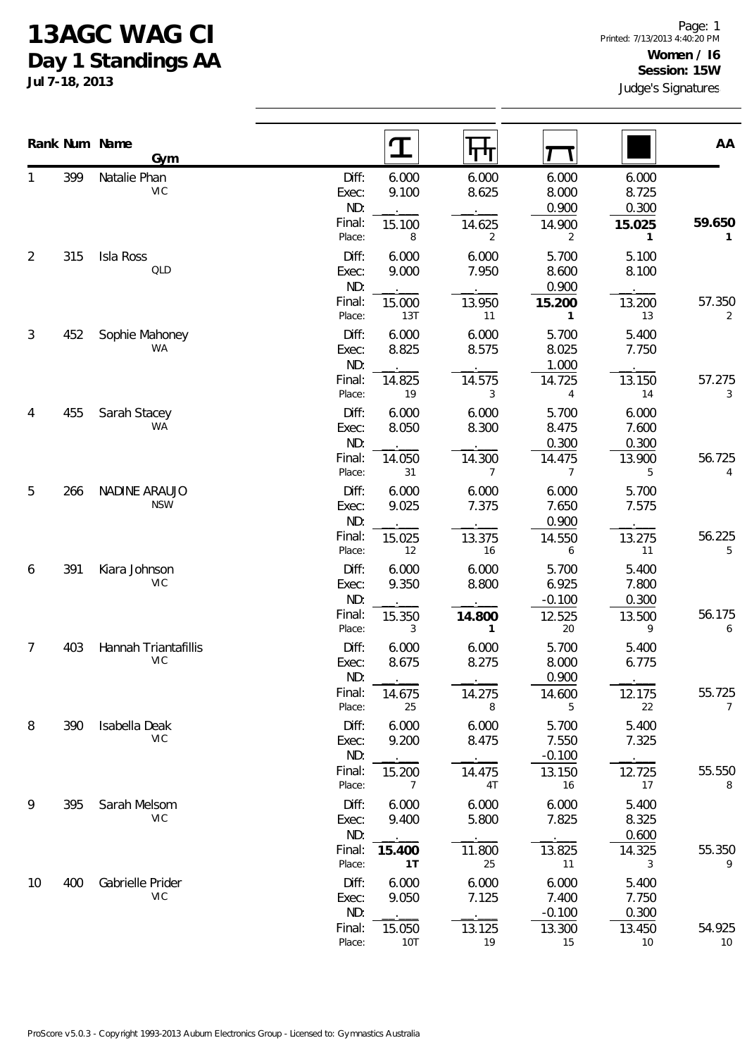## **13AGC WAG CI Day 1 Standings AA**

|                |     | Rank Num Name                      |                                 | $\mathbf T$              | पाग                    |                            |                         | AA                       |
|----------------|-----|------------------------------------|---------------------------------|--------------------------|------------------------|----------------------------|-------------------------|--------------------------|
| 1              | 399 | Gym<br>Natalie Phan<br><b>VIC</b>  | Diff:<br>Exec:<br>ND:           | 6.000<br>9.100           | 6.000<br>8.625         | 6.000<br>8.000<br>0.900    | 6.000<br>8.725<br>0.300 |                          |
| $\overline{2}$ | 315 | Isla Ross                          | Final:<br>Place:<br>Diff:       | 15.100<br>8<br>6.000     | 14.625<br>2<br>6.000   | 14.900<br>2<br>5.700       | 15.025<br>1<br>5.100    | 59.650<br>1              |
|                |     | QLD                                | Exec:<br>ND:                    | 9.000                    | 7.950                  | 8.600<br>0.900             | 8.100                   |                          |
|                |     |                                    | Final:<br>Place:                | 15.000<br>13T            | 13.950<br>11           | 15.200<br>$\mathbf{1}$     | 13.200<br>13            | 57.350<br>2              |
| 3              | 452 | Sophie Mahoney<br>WA               | Diff:<br>Exec:<br>ND:           | 6.000<br>8.825           | 6.000<br>8.575         | 5.700<br>8.025<br>1.000    | 5.400<br>7.750          |                          |
|                |     |                                    | Final:<br>Place:                | 14.825<br>19             | 14.575<br>3            | 14.725<br>4                | 13.150<br>14            | 57.275<br>3              |
| 4              | 455 | Sarah Stacey<br>WA                 | Diff:<br>Exec:<br>ND:           | 6.000<br>8.050           | 6.000<br>8.300         | 5.700<br>8.475<br>0.300    | 6.000<br>7.600<br>0.300 |                          |
|                |     |                                    | Final:<br>Place:                | 14.050<br>31             | 14.300<br>7            | 14.475<br>7                | 13.900<br>5             | 56.725<br>4              |
| 5              | 266 | <b>NADINE ARAUJO</b><br><b>NSW</b> | Diff:<br>Exec:<br>ND:           | 6.000<br>9.025           | 6.000<br>7.375         | 6.000<br>7.650<br>0.900    | 5.700<br>7.575          |                          |
|                |     |                                    | Final:<br>Place:                | 15.025<br>12             | 13.375<br>16           | 14.550<br>6                | 13.275<br>11            | 56.225<br>5              |
| 6              | 391 | Kiara Johnson<br><b>VIC</b>        | Diff:<br>Exec:<br>ND:<br>Final: | 6.000<br>9.350           | 6.000<br>8.800         | 5.700<br>6.925<br>$-0.100$ | 5.400<br>7.800<br>0.300 | 56.175                   |
|                |     |                                    | Place:                          | 15.350<br>3              | 14.800<br>$\mathbf{1}$ | 12.525<br>$20\,$           | 13.500<br>9             | 6                        |
| 7              | 403 | Hannah Triantafillis<br>VIC        | Diff:<br>Exec:<br>ND:           | 6.000<br>8.675           | 6.000<br>8.275         | 5.700<br>8.000<br>0.900    | 5.400<br>6.775          |                          |
|                |     |                                    | Final:<br>Place:                | 14.675<br>25             | 14.275<br>8            | 14.600<br>5                | 12.175<br>22            | 55.725<br>$\overline{7}$ |
| 8              | 390 | Isabella Deak<br><b>VIC</b>        | Diff:<br>Exec:<br>ND:           | 6.000<br>9.200           | 6.000<br>8.475         | 5.700<br>7.550<br>$-0.100$ | 5.400<br>7.325          |                          |
|                |     |                                    | Final:<br>Place:                | 15.200<br>$\overline{7}$ | 14.475<br>4T           | 13.150<br>16               | 12.725<br>17            | 55.550<br>8              |
| 9              | 395 | Sarah Melsom<br><b>VIC</b>         | Diff:<br>Exec:<br>ND:           | 6.000<br>9.400           | 6.000<br>5.800         | 6.000<br>7.825             | 5.400<br>8.325<br>0.600 |                          |
|                |     |                                    | Final:<br>Place:                | 15.400<br>1T             | 11.800<br>25           | 13.825<br>11               | 14.325<br>3             | 55.350<br>9              |
| 10             | 400 | Gabrielle Prider<br><b>VIC</b>     | Diff:<br>Exec:<br>ND:           | 6.000<br>9.050           | 6.000<br>7.125         | 6.000<br>7.400<br>$-0.100$ | 5.400<br>7.750<br>0.300 |                          |
|                |     |                                    | Final:<br>Place:                | 15.050<br>10T            | 13.125<br>19           | 13.300<br>15               | 13.450<br>10            | 54.925<br>10             |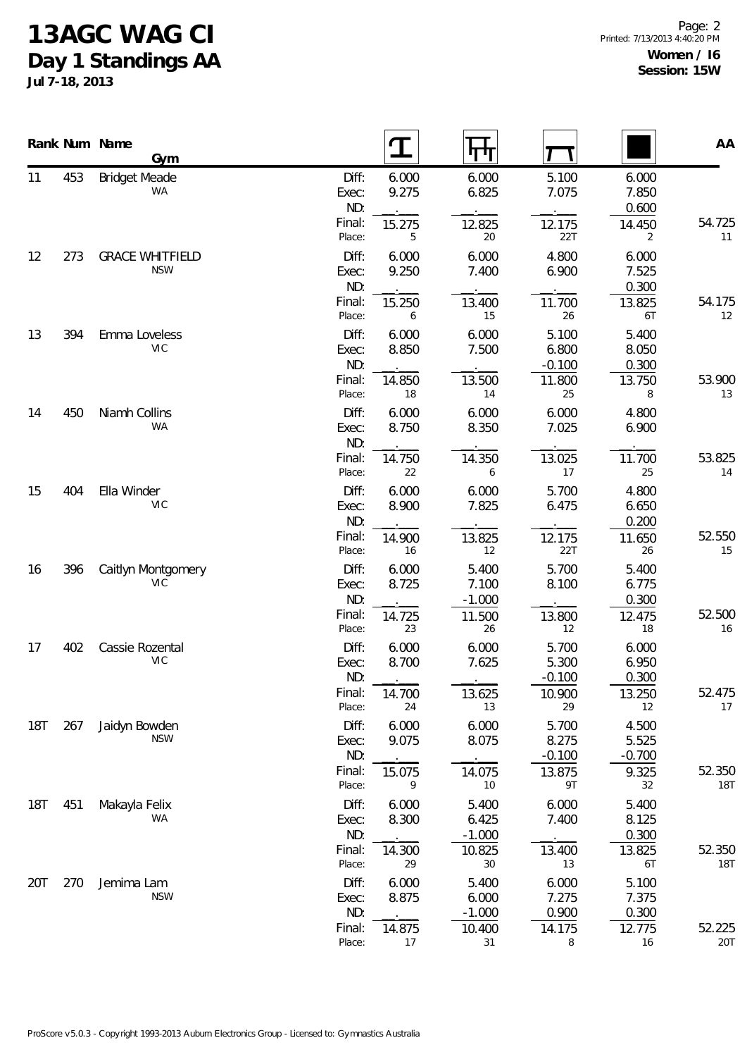## **13AGC WAG CI**

**Day 1 Standings AA**

|            |     | Rank Num Name<br>Gym                 |                                  |                          | पाग                                  |                                  |                                   | AA                   |
|------------|-----|--------------------------------------|----------------------------------|--------------------------|--------------------------------------|----------------------------------|-----------------------------------|----------------------|
| 11         | 453 | <b>Bridget Meade</b><br><b>WA</b>    | Diff:<br>Exec:<br>ND:            | 6.000<br>9.275           | 6.000<br>6.825                       | 5.100<br>7.075                   | 6.000<br>7.850<br>0.600           |                      |
|            |     |                                      | Final:<br>Place:                 | 15.275<br>5              | 12.825<br>20                         | 12.175<br>22T                    | 14.450<br>2                       | 54.725<br>11         |
| 12         | 273 | <b>GRACE WHITFIELD</b><br><b>NSW</b> | Diff:<br>Exec:<br>ND:            | 6.000<br>9.250           | 6.000<br>7.400                       | 4.800<br>6.900                   | 6.000<br>7.525<br>0.300           |                      |
|            |     |                                      | Final:<br>Place:                 | 15.250<br>6              | 13.400<br>15                         | 11.700<br>26                     | 13.825<br>6T                      | 54.175<br>12         |
| 13         | 394 | Emma Loveless<br><b>VIC</b>          | Diff:<br>Exec:<br>ND:            | 6.000<br>8.850           | 6.000<br>7.500                       | 5.100<br>6.800<br>$-0.100$       | 5.400<br>8.050<br>0.300           |                      |
|            |     |                                      | Final:<br>Place:                 | 14.850<br>18             | 13.500<br>14                         | 11.800<br>25                     | 13.750<br>8                       | 53.900<br>13         |
| 14         | 450 | Niamh Collins<br><b>WA</b>           | Diff:<br>Exec:<br>ND:            | 6.000<br>8.750           | 6.000<br>8.350                       | 6.000<br>7.025                   | 4.800<br>6.900                    |                      |
|            |     |                                      | Final:<br>Place:                 | 14.750<br>22             | 14.350<br>6                          | 13.025<br>17                     | 11.700<br>25                      | 53.825<br>14         |
| 15         | 404 | Ella Winder<br><b>VIC</b>            | Diff:<br>Exec:<br>ND:            | 6.000<br>8.900           | 6.000<br>7.825                       | 5.700<br>6.475                   | 4.800<br>6.650<br>0.200           |                      |
|            |     |                                      | Final:<br>Place:                 | 14.900<br>16             | 13.825<br>12                         | 12.175<br>22T                    | 11.650<br>26                      | 52.550<br>15         |
| 16         | 396 | Caitlyn Montgomery<br><b>VIC</b>     | Diff:<br>Exec:<br>ND:<br>Final:  | 6.000<br>8.725<br>14.725 | 5.400<br>7.100<br>$-1.000$<br>11.500 | 5.700<br>8.100<br>13.800         | 5.400<br>6.775<br>0.300<br>12.475 | 52.500               |
| 17         | 402 | Cassie Rozental<br><b>VIC</b>        | Place:<br>Diff:<br>Exec:<br>ND:  | 23<br>6.000<br>8.700     | 26<br>6.000<br>7.625                 | 12<br>5.700<br>5.300<br>$-0.100$ | 18<br>6.000<br>6.950<br>0.300     | 16                   |
|            |     |                                      | Final:<br>Place:                 | 14.700<br>24             | 13.625<br>13                         | 10.900<br>29                     | 13.250<br>12                      | 52.475<br>17         |
| 18T        | 267 | Jaidyn Bowden<br><b>NSW</b>          | Diff:<br>Exec:<br>ND:            | 6.000<br>9.075           | 6.000<br>8.075                       | 5.700<br>8.275<br>$-0.100$       | 4.500<br>5.525<br>$-0.700$        |                      |
|            |     |                                      | Final:<br>Place:                 | 15.075<br>9              | 14.075<br>10                         | 13.875<br>9T                     | 9.325<br>32                       | 52.350<br><b>18T</b> |
| <b>18T</b> | 451 | Makayla Felix<br>WA                  | Diff:<br>Exec:<br>ND:<br>Final:  | 6.000<br>8.300<br>14.300 | 5.400<br>6.425<br>$-1.000$<br>10.825 | 6.000<br>7.400<br>13.400         | 5.400<br>8.125<br>0.300<br>13.825 | 52.350               |
| 20T        | 270 | Jemima Lam                           | Place:<br>Diff:                  | 29<br>6.000              | $30\,$<br>5.400                      | 13<br>6.000                      | 6T<br>5.100                       | <b>18T</b>           |
|            |     | <b>NSW</b>                           | Exec:<br>ND:<br>Final:<br>Place: | 8.875<br>14.875<br>17    | 6.000<br>$-1.000$<br>10.400<br>31    | 7.275<br>0.900<br>14.175<br>8    | 7.375<br>0.300<br>12.775<br>16    | 52.225<br>20T        |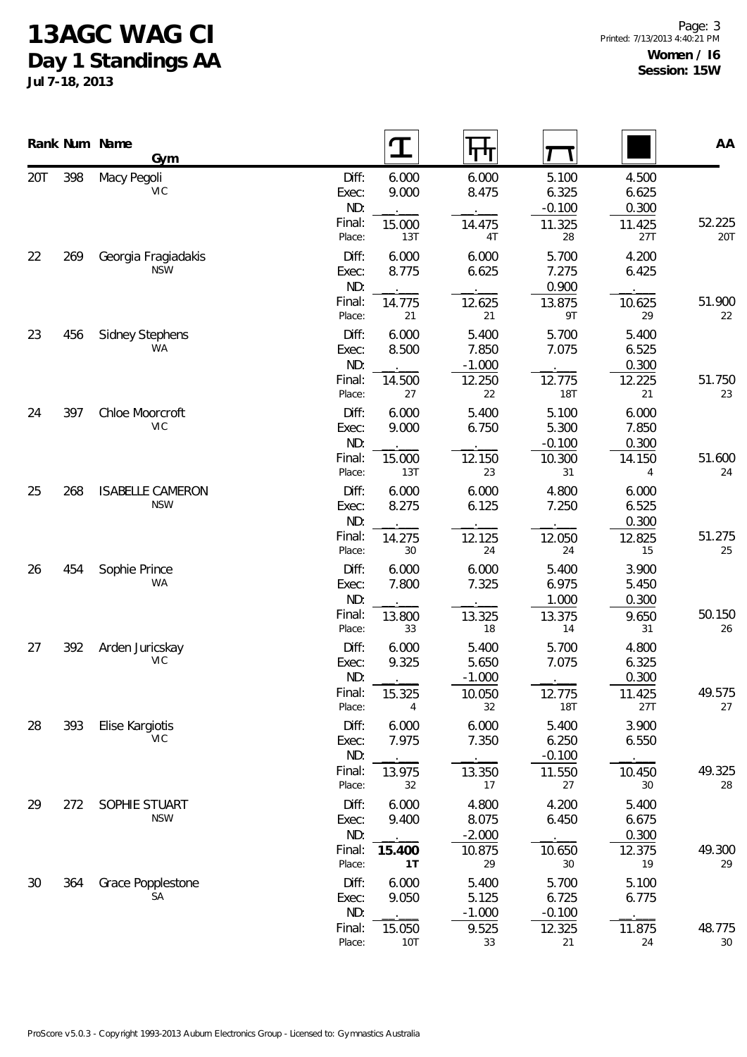## **13AGC WAG CI**

**Day 1 Standings AA**

|     |     | Rank Num Name<br>Gym                  |                                                                             |                                   |                                         |                                        | AA                   |
|-----|-----|---------------------------------------|-----------------------------------------------------------------------------|-----------------------------------|-----------------------------------------|----------------------------------------|----------------------|
| 20T | 398 | Macy Pegoli<br><b>VIC</b>             | Diff:<br>6.000<br>9.000<br>Exec:<br>ND:                                     | 6.000<br>8.475                    | 5.100<br>6.325<br>$-0.100$              | 4.500<br>6.625<br>0.300                |                      |
| 22  | 269 | Georgia Fragiadakis                   | Final:<br>15.000<br>Place:<br>13T<br>Diff:<br>6.000                         | 14.475<br>4T<br>6.000             | 11.325<br>28<br>5.700                   | 11.425<br>27T<br>4.200                 | 52.225<br><b>20T</b> |
|     |     | <b>NSW</b>                            | 8.775<br>Exec:<br>ND:<br>Final:<br>14.775                                   | 6.625<br>12.625                   | 7.275<br>0.900<br>13.875                | 6.425<br>10.625                        | 51.900               |
| 23  | 456 | Sidney Stephens                       | 21<br>Place:<br>Diff:<br>6.000                                              | 21<br>5.400                       | 9T<br>5.700                             | 29<br>5.400                            | 22                   |
|     |     | WA                                    | 8.500<br>Exec:<br>ND:<br>Final:<br>14.500                                   | 7.850<br>$-1.000$<br>12.250       | 7.075<br>12.775                         | 6.525<br>0.300<br>12.225               | 51.750               |
| 24  | 397 | Chloe Moorcroft<br><b>VIC</b>         | Place:<br>27<br>Diff:<br>6.000<br>9.000<br>Exec:                            | 22<br>5.400<br>6.750              | <b>18T</b><br>5.100<br>5.300            | 21<br>6.000<br>7.850                   | 23                   |
|     |     |                                       | ND:<br>Final:<br>15.000<br>13T<br>Place:                                    | 12.150<br>23                      | $-0.100$<br>10.300<br>31                | 0.300<br>14.150<br>4                   | 51.600<br>24         |
| 25  | 268 | <b>ISABELLE CAMERON</b><br><b>NSW</b> | Diff:<br>6.000<br>8.275<br>Exec:<br>ND:<br>Final:<br>14.275                 | 6.000<br>6.125<br>12.125          | 4.800<br>7.250<br>12.050                | 6.000<br>6.525<br>0.300<br>12.825      | 51.275               |
| 26  | 454 | Sophie Prince<br><b>WA</b>            | 30<br>Place:<br>6.000<br>Diff:<br>7.800<br>Exec:<br>ND:<br>Final:<br>13.800 | 24<br>6.000<br>7.325<br>13.325    | 24<br>5.400<br>6.975<br>1.000<br>13.375 | 15<br>3.900<br>5.450<br>0.300<br>9.650 | 25<br>50.150         |
| 27  | 392 | Arden Juricskay<br><b>VIC</b>         | 33<br>Place:<br>Diff:<br>6.000<br>9.325<br>Exec:<br>ND:                     | 18<br>5.400<br>5.650<br>$-1.000$  | 14<br>5.700<br>7.075                    | 31<br>4.800<br>6.325<br>0.300          | 26                   |
|     |     |                                       | Final:<br>15.325<br>Place:<br>4                                             | 10.050<br>32                      | 12.775<br><b>18T</b>                    | 11.425<br>27T                          | 49.575<br>27         |
| 28  | 393 | Elise Kargiotis<br>VIC                | Diff:<br>6.000<br>7.975<br>Exec:<br>ND:<br>Final:                           | 6.000<br>7.350                    | 5.400<br>6.250<br>$-0.100$              | 3.900<br>6.550                         | 49.325               |
| 29  | 272 | SOPHIE STUART                         | 13.975<br>32<br>Place:<br>6.000<br>Diff:                                    | 13.350<br>17<br>4.800             | 11.550<br>27<br>4.200                   | 10.450<br>30<br>5.400                  | 28                   |
|     |     | <b>NSW</b>                            | 9.400<br>Exec:<br>ND:<br>Final:<br>15.400<br>Place:<br>1T                   | 8.075<br>$-2.000$<br>10.875<br>29 | 6.450<br>10.650<br>$30\,$               | 6.675<br>0.300<br>12.375<br>19         | 49.300<br>29         |
| 30  | 364 | Grace Popplestone<br>SА               | Diff:<br>6.000<br>9.050<br>Exec:<br>ND:                                     | 5.400<br>5.125<br>$-1.000$        | 5.700<br>6.725<br>$-0.100$              | 5.100<br>6.775                         |                      |
|     |     |                                       | Final:<br>15.050<br>Place:<br><b>10T</b>                                    | 9.525<br>33                       | 12.325<br>21                            | 11.875<br>24                           | 48.775<br>$30\,$     |